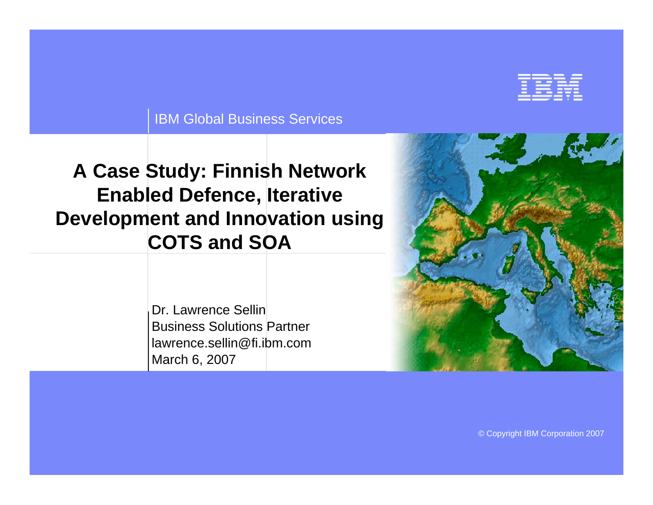

#### IBM Global Business Services

### **A Case Study: Finnish Network Enabled Defence, Iterative Development and Innovation using COTS and SOA**

Dr. Lawrence SellinBusiness Solutions Partnerlawrence.sellin@fi.ibm.comMarch 6, 2007

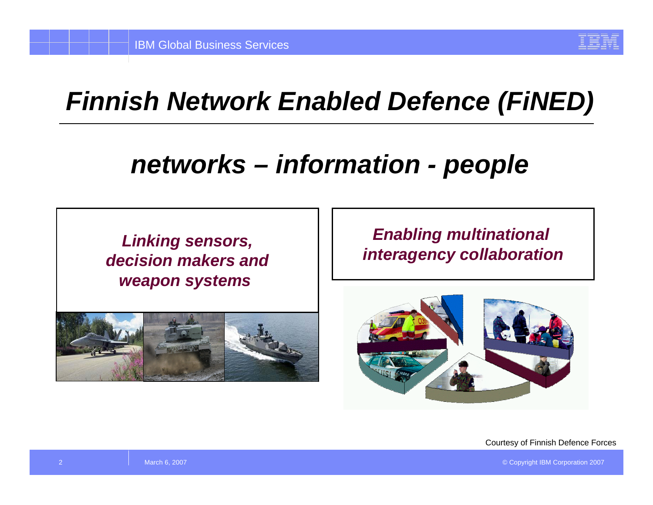

# *Finnish Network Enabled Defence (FiNED)*

# *networks – information - people*

*weapon systems* 



### *Enabling multinational interagency collaboration Linking sensors, decision makers and*

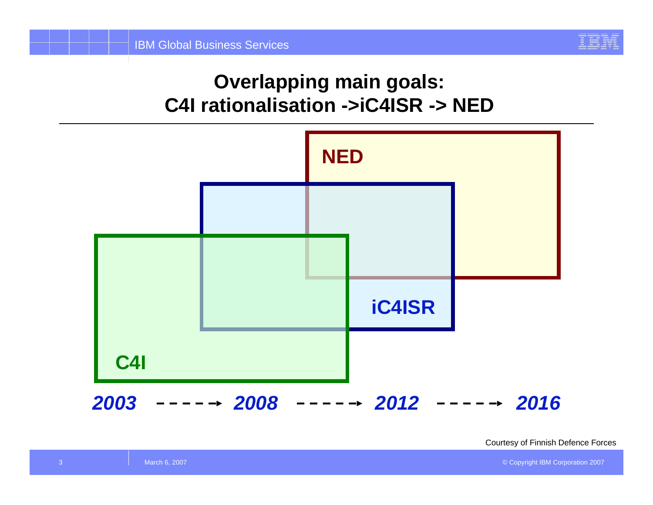

### **Overlapping main goals: C4I rationalisation ->iC4ISR -> NED**

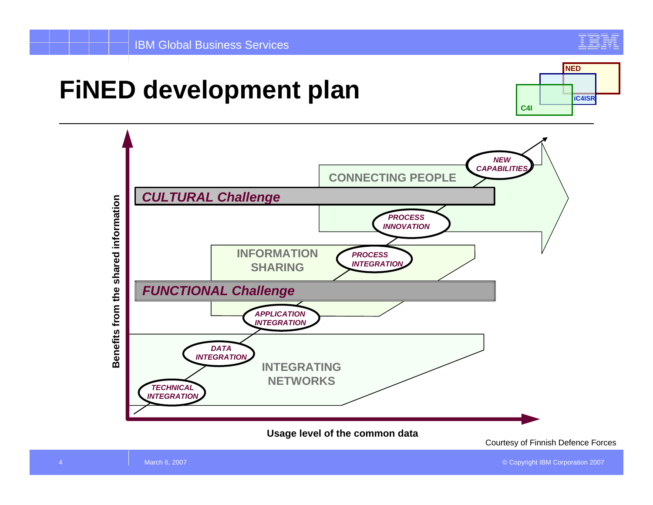## **FiNED development plan**



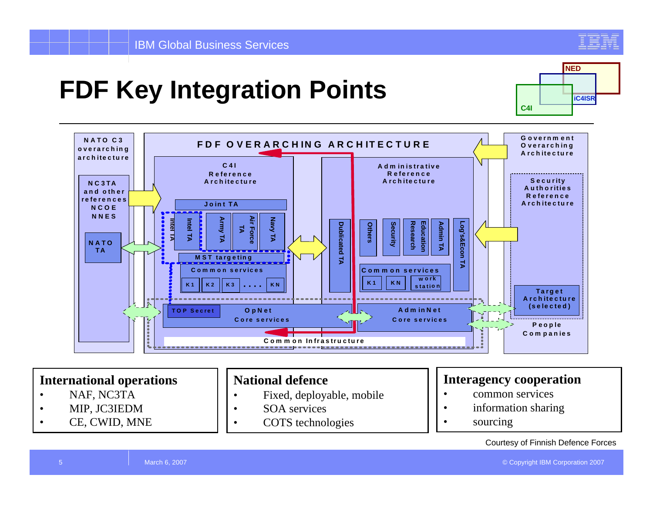# **FDF Key Integration Points**





#### **International operations**

- •NAF, NC3TA
- •MIP, JC3IEDM
- •CE, CWID, MNE

#### **National defence**

- • Fixed, deployable, mobile
	- SOA services

•

•

COTS technologies

#### **Interagency cooperation**

- •common services
- •information sharing
- sourcing

•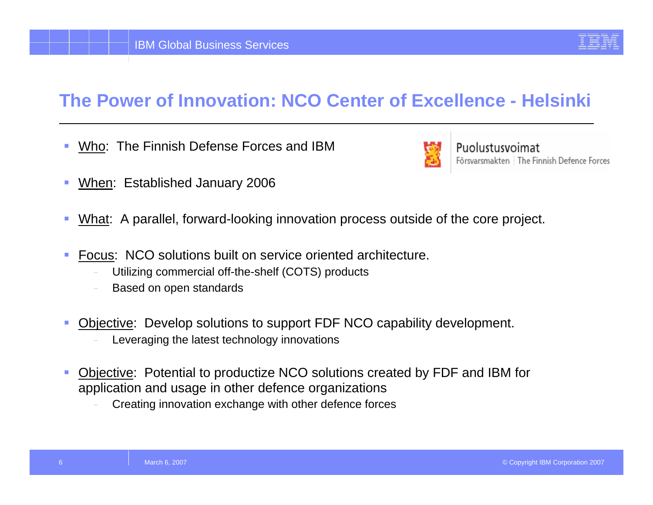### **The Power of Innovation: NCO Center of Excellence - Helsinki**

 $\blacksquare$ Who: The Finnish Defense Forces and IBM



Puolustusvoimat Försvarsmakten | The Finnish Defence Forces

- $\overline{\phantom{a}}$ When: Established January 2006
- $\overline{\phantom{a}}$ What: A parallel, forward-looking innovation process outside of the core project.
- $\blacksquare$  Focus: NCO solutions built on service oriented architecture.
	- Utilizing commercial off-the-shelf (COTS) products
	- Based on open standards
- × Objective: Develop solutions to support FDF NCO capability development.
	- Leveraging the latest technology innovations
- Ī. Objective: Potential to productize NCO solutions created by FDF and IBM for application and usage in other defence organizations
	- Creating innovation exchange with other defence forces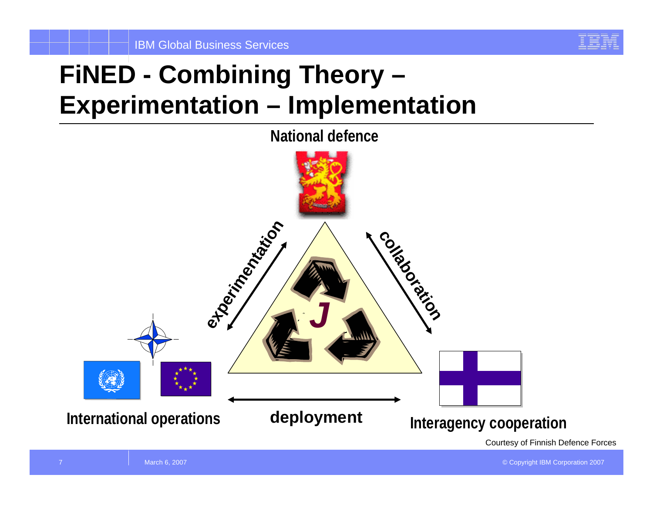IBM Global Business Services

## **FiNED - Combining Theory – Experimentation – Implementation**

**National defence**